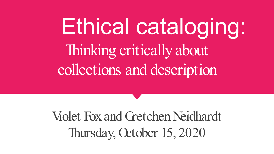Ethical cataloging: Thinking critically about collections and description

Violet Fox and Gretchen Neidhardt Thursday, October 15, 2020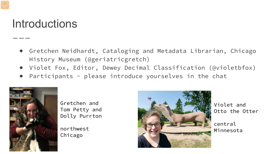#### **Introductions**

- Gretchen Neidhardt, Cataloging and Metadata Librarian, Chicago History Museum (@geriatricgretch)
- Violet Fox, Editor, Dewey Decimal Classification (@violetbfox)
- Participants please introduce yourselves in the chat



Gretchen and Tom Petty and Dolly Purrton

northwest Chicago



Violet and Otto the Otter

central Minnesota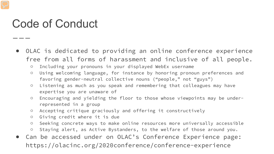## Code of Conduct

- OLAC is dedicated to providing an online conference experience free from all forms of harassment and inclusive of all people.
	- Including your pronouns in your displayed WebEx username
	- Using welcoming language, for instance by honoring pronoun preferences and favoring gender-neutral collective nouns ("people," not "guys")
	- Listening as much as you speak and remembering that colleagues may have expertise you are unaware of
	- Encouraging and yielding the floor to those whose viewpoints may be underrepresented in a group
	- Accepting critique graciously and offering it constructively
	- Giving credit where it is due
	- Seeking concrete ways to make online resources more universally accessible
	- Staying alert, as Active Bystanders, to the welfare of those around you.
- Can be accessed under on OLAC's Conference Experience page: https://olacinc.org/2020conference/conference-experience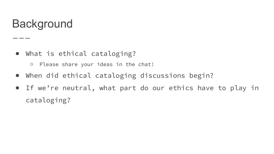## Background

- What is ethical cataloging?
	- Please share your ideas in the chat!
- When did ethical cataloging discussions begin?
- If we're neutral, what part do our ethics have to play in cataloging?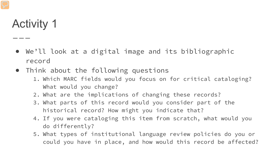# Activity 1

- We'll look at a digital image and its bibliographic record
- Think about the following questions
	- 1. Which MARC fields would you focus on for critical cataloging? What would you change?
	- 2. What are the implications of changing these records?
	- 3. What parts of this record would you consider part of the historical record? How might you indicate that?
	- 4. If you were cataloging this item from scratch, what would you do differently?
	- 5. What types of institutional language review policies do you or could you have in place, and how would this record be affected?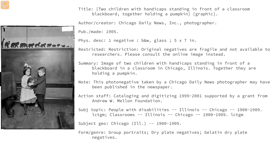Title: [Two children with handicaps standing in front of a classroom blackboard, together holding a pumpkin] [graphic].

Author/creator: Chicago Daily News, Inc., photographer.

Pub./made: 1905.

Phys. desc: 1 negative : b&w, glass ; 5 x 7 in.

Restricted: Restriction: Original negatives are fragile and not available to researchers. Please consult the online image instead.

Summary: Image of two children with handicaps standing in front of a blackboard in a classroom in Chicago, Illinois. Together they are holding a pumpkin.

Note: This photonegative taken by a Chicago Daily News photographer may have been published in the newspaper.

Action staff: Cataloging and digitizing 1999-2001 supported by a grant from Andrew W. Mellon Foundation.

Subj topic: People with disabilities -- Illinois -- Chicago -- 1900-1909. lctgm; Classrooms -- Illinois -- Chicago -- 1900-1909. lctgm

Subject geo: Chicago (Ill.) -- 1900-1909.

Form/genre: Group portraits; Dry plate negatives; Gelatin dry plate negatives.

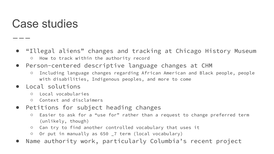#### Case studies

- "Illegal aliens" changes and tracking at Chicago History Museum ○ How to track within the authority record
- Person-centered descriptive language changes at CHM
	- Including language changes regarding African American and Black people, people with disabilities, Indigenous peoples, and more to come
- Local solutions
	- Local vocabularies
	- Context and disclaimers
- Petitions for subject heading changes
	- Easier to ask for a "use for" rather than a request to change preferred term (unlikely, though)
	- Can try to find another controlled vocabulary that uses it
	- Or put in manually as 650 \_7 term (local vocabulary)
- Name authority work, particularly Columbia's recent project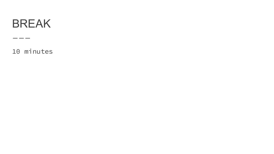### BREAK

\_\_\_

10 minutes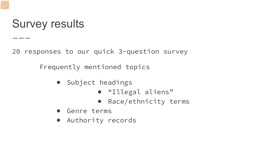# Survey results

- - -

20 responses to our quick 3-question survey

Frequently mentioned topics

- Subject headings
	- "Illegal aliens"
	- Race/ethnicity terms
- Genre terms
- Authority records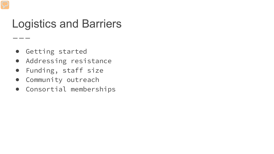# Logistics and Barriers

● Getting started

- - -

- Addressing resistance
- Funding, staff size
- Community outreach
- Consortial memberships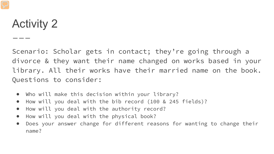# Activity 2

Scenario: Scholar gets in contact; they're going through a divorce & they want their name changed on works based in your library. All their works have their married name on the book. Questions to consider:

- Who will make this decision within your library?
- How will you deal with the bib record (100 & 245 fields)?
- How will you deal with the authority record?
- How will you deal with the physical book?
- Does your answer change for different reasons for wanting to change their name?